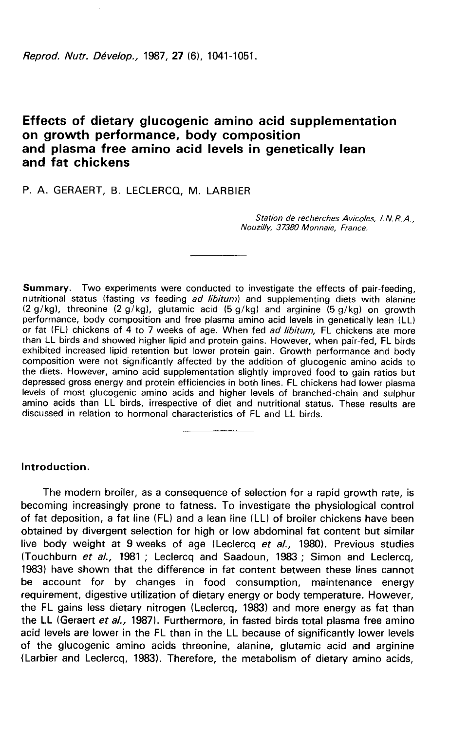Reprod. Nutr. Dévelop., 1987, 27 (6), 1041-1051.

# Effects of dietary glucogenic amino acid supplementation<br>on growth performance, body composition and plasma free amino acid levels in genetically lean and fat chickens

# P. A. GERAERT, B. LECLERCQ, M. LARBIER

Station de recherches Avicoles, I.N.R.A., Nouzilly, 37380 Monnaie, France.

Summary. Two experiments were conducted to investigate the effects of pair-feeding, nutritional status (fasting vs feeding ad libitum) and supplementing diets with alanine  $(2 g/kg)$ , threonine  $(2 g/kg)$ , glutamic acid  $(5 g/kg)$  and arginine  $(5 g/kg)$  on growth performance, body composition and free plasma amino acid levels in genetically lean (LL) or fat (FL) chickens of 4 to 7 weeks of age. When fed *ad libitum*, FL chickens ate more than LL birds and showed higher lipid and protein gains. However, when pair-fed, FL birds exhibited increased lipid retention but lower protein gain. Growth performance and body composition were not significantly affected by the addition of glucogenic amino acids to the diets. However, amino acid supplementation slightly improved food to gain ratios but depressed gross energy and protein efficiencies in both lines. FL chickens had lower plasma<br>levels of most glucogenic amino acids and higher levels of branched-chain and sulphur amino acids than LL birds, irrespective of diet and nutritional status. These results are discussed in relation to hormonal characteristics of FL and LL birds.

# Introduction.

The modern broiler, as a consequence of selection for a rapid growth rate, is becoming increasingly prone to fatness. To investigate the physiological control of fat deposition, a fat line (FL) and a lean line (LL) of broiler chickens have been obtained by divergent selection for high or low abdominal fat content but similar live body weight at 9 weeks of age (Leclercq et al., 1980). Previous studies (Touchburn et al., 1981 ; Leclercq and Saadoun, 1983 ; Simon and Leclercq, 1983) have shown that the difference in fat content between these lines cannot be account for by changes in food consumption, maintenance energy requirement, digestive utilization of dietary energy or body temperature. However, the FL gains less dietary nitrogen (Leclercq, 1983) and more energy as fat than the LL (Geraert et al., 1987). Furthermore, in fasted birds total plasma free amino acid levels are lower in the FL than in the LL because of significantly lower levels of the glucogenic amino acids threonine, alanine, glutamic acid and arginine (Larbier and Leclercq, 1983). Therefore, the metabolism of dietary amino acids,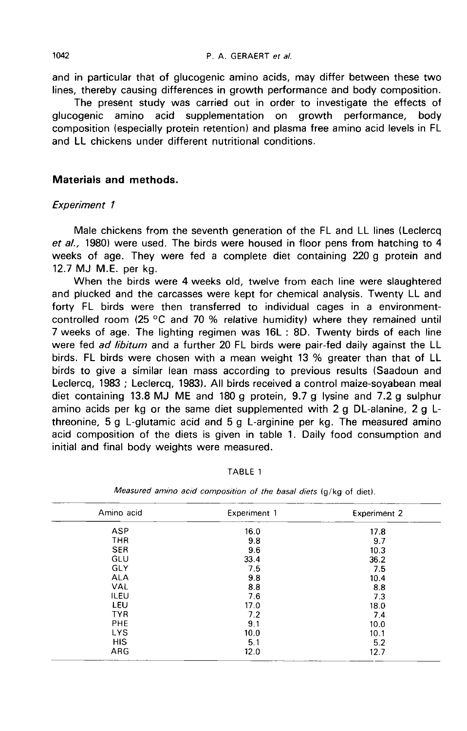and in particular that of glucogenic amino acids, may differ between these two lines, thereby causing differences in growth performance and body composition.

The present study was carried out in order to investigate the effects of glucogenic amino acid supplementation on growth performance, body composition (especially protein retention) and plasma free amino acid levels in FL and LL chickens under different nutritional conditions.

### Materials and methods.

#### Experiment 1

Male chickens from the seventh generation of the FL and LL lines (Leclercq et al., 1980) were used. The birds were housed in floor pens from hatching to 4 weeks of age. They were fed a complete diet containing 220 g protein and 12.7 MJ M.E. per kg.

When the birds were 4 weeks old, twelve from each line were slaughtered and plucked and the carcasses were kept for chemical analysis. Twenty LL and forty FL birds were then transferred to individual cages in a environmentcontrolled room (25 °C and 70 % relative humidity) where they remained until 7 weeks of age. The lighting regimen was 16L : 8D. Twenty birds of each line were fed ad libitum and a further 20 FL birds were pair-fed daily against the LL birds. FL birds were chosen with a mean weight 13 % greater than that of LL birds to give a similar lean mass according to previous results (Saadoun and Leclercq, 1983 ; Leclercq, 1983). All birds received a control maize-soyabean meal diet containing 13.8 MJ ME and 180 g protein, 9.7 g lysine and 7.2 g sulphur amino acids per kg or the same diet supplemented with 2 g DL-alanine, 2 g Lthreonine, 5 g L-glutamic acid and 5 g L-arginine per kg. The measured amino acid composition of the diets is given in table 1. Daily food consumption and initial and final body weights were measured.

| Amino acid  | Experiment 1 | <b>Experiment 2</b> |
|-------------|--------------|---------------------|
| <b>ASP</b>  | 16.0         | 17.8                |
| <b>THR</b>  | 9.8          | 9.7                 |
| <b>SER</b>  | 9.6          | 10.3                |
| GLU         | 33.4         | 36.2                |
| GLY         | 7.5          | 7.5                 |
| <b>ALA</b>  | 9.8          | 10.4                |
| VAL         | 8.8          | 8.8                 |
| <b>ILEU</b> | 7.6          | 7.3                 |
| LEU         | 17.0         | 18.0                |
| <b>TYR</b>  | 7.2          | 7.4                 |
| PHE         | 9.1          | 10.0                |
| <b>LYS</b>  | 10.0         | 10.1                |
| <b>HIS</b>  | 5.1          | 5.2                 |
| ARG         | 12.0         | 12.7                |

TABLE 1

Measured amino acid composition of the basal diets (g/kg of diet).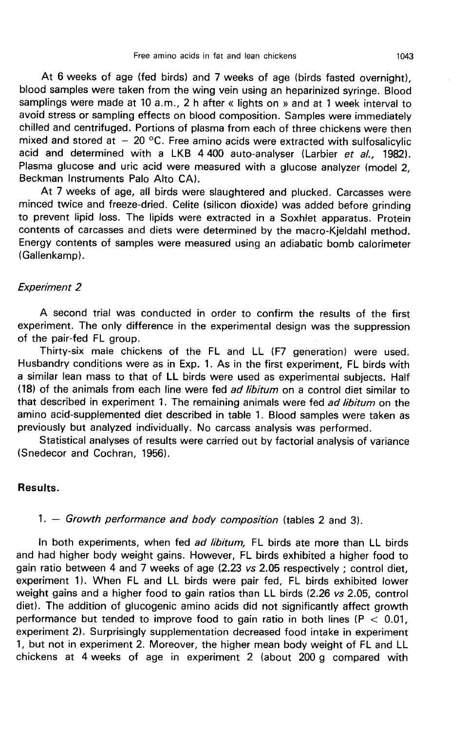At 6 weeks of age (fed birds) and 7 weeks of age (birds fasted overnight), blood samples were taken from the wing vein using an heparinized syringe. Blood samplings were made at 10 a.m., 2 h after « lights on » and at 1 week interval to avoid stress or sampling effects on blood composition. Samples were immediately chilled and centrifuged. Portions of plasma from each of three chickens were then mixed and stored at  $-20$  °C. Free amino acids were extracted with sulfosalicylic acid and determined with a LKB 4 400 auto-analyser (Larbier et al., 1982). Plasma glucose and uric acid were measured with a glucose analyzer (model 2, Beckman Instruments Palo Alto CA).

At 7 weeks of age, all birds were slaughtered and plucked. Carcasses were minced twice and freeze-dried. Celite (silicon dioxide) was added before grinding to prevent lipid loss. The lipids were extracted in a Soxhlet apparatus. Protein contents of carcasses and diets were determined by the macro-Kjeldahl method. Energy contents of samples were measured using an adiabatic bomb calorimeter (Gallenkamp).

# Experiment 2

A second trial was conducted in order to confirm the results of the first experiment. The only difference in the experimental design was the suppression of the pair-fed FL group.

Thirty-six male chickens of the FL and LL (F7 generation) were used. Husbandry conditions were as in Exp. 1. As in the first experiment, FL birds with a similar lean mass to that of LL birds were used as experimental subjects. Half (18) of the animals from each line were fed ad libitum on a control diet similar to that described in experiment 1. The remaining animals were fed ad libitum on the amino acid-supplemented diet described in table 1. Blood samples were taken as previously but analyzed individually. No carcass analysis was performed.

Statistical analyses of results were carried out by factorial analysis of variance (Snedecor and Cochran, 1956).

#### Results.

# 1.  $-$  Growth performance and body composition (tables 2 and 3).

In both experiments, when fed ad libitum, FL birds ate more than LL birds and had higher body weight gains. However, FL birds exhibited a higher food to gain ratio between 4 and 7 weeks of age (2.23 vs 2.05 respectively ; control diet, experiment 11. When FL and LL birds were pair fed, FL birds exhibited lower weight gains and a higher food to gain ratios than LL birds (2.26 vs 2.05, control diet). The addition of glucogenic amino acids did not significantly affect growth performance but tended to improve food to gain ratio in both lines ( $P < 0.01$ , experiment 2). Surprisingly supplementation decreased food intake in experiment 1, but not in experiment 2. Moreover, the higher mean body weight of FL and LL chickens at 4 weeks of age in experiment 2 (about 200 g compared with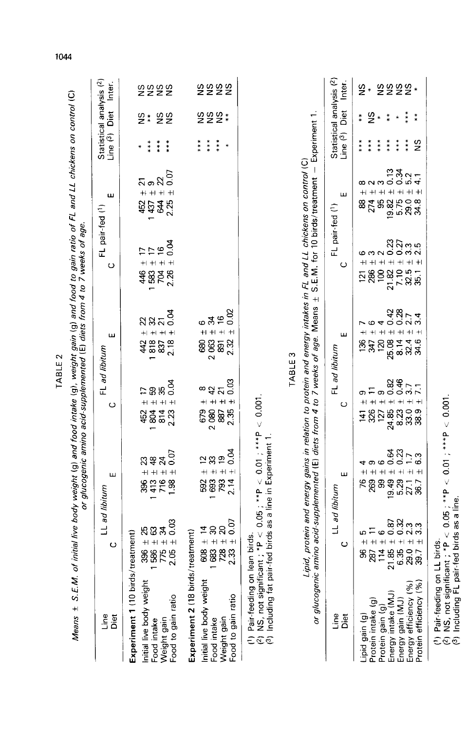| Lipid, protein and energy gains in relation to protein and energy intakes in FL and LL chickens on control (C)<br>annoonna<br>Connoonna<br>0.04<br>$\frac{1}{2}$<br>F<br>$+$<br>$\overline{+}$<br>$\ddot{}$<br>$+1$<br>$\pm$<br>$+1$<br>$+$<br>$\pm$<br>ပ<br>ပ<br>704<br>2.26<br>583<br>$\overline{100}$<br>$\frac{5}{28}$<br>446<br>$+1$<br>or glucogenic amino acid-supplemented (E) diets from 4 to 7 weeks of age. Means<br>6400N4<br>0.02<br>$\frac{3}{2}$<br>$\frac{4}{6}$<br>ដន<br>$\overline{2}$<br>$42882$<br>$42828$<br>$628$<br>$2063 + 34$<br>$2063 + 34$<br>$891 + 7$<br>$25.08 + 1$<br>$25.08 + 1$<br>$8.14 + 1$<br>$+$<br>$+$<br>$\boldsymbol{+}$<br>$^{\mathrm{+}}$<br>ш<br>ш<br>818<br>120<br>2.32<br>2.18<br>347<br>36<br>34.6<br>42<br>FL ad libitum<br>FL ad libitum<br>TABLE <sub>3</sub><br>0.46<br>0.03<br>යි<br>වි<br>0.04<br>$\overline{7.1}$<br>3.7<br>35<br>∞<br>$\overline{4}$<br>$\overline{\mathbf{z}}$<br>8<br>9<br>$\frac{5}{6}$<br>$+1 + 1 + 1$<br>$+ + $<br>$+1 + 1 + 1 + 1$<br>$+1 +$<br>$\pm$<br>$+$<br>$\pm$<br>$^{\mathrm{+}}$<br>ပ<br>ပ<br>2080<br>24.85<br>2.35<br>127<br>679<br>8.23<br>$\begin{array}{c} 0.9 \\ 3.8 \end{array}$<br>804<br>887<br>814<br>2.23<br>326<br>452<br>141<br>$< 0.01 ;***P$<br>r-fed birds as a line in Experiment 1.<br>0.04<br>0.23<br>0.64<br>0.07<br>m<br>$\overline{1}$<br>24<br>$\approx$ $\approx$<br>$\overline{9}$<br>R#<br>ဖ<br>တ (၀<br>4<br>$+1 + 1 + 1 + 1$<br>$+1 + 1 + 1$<br>$^{+}$<br>$+1$<br>ш<br>ш<br>793<br>807<br>847<br>1.98<br>693<br>19.49<br>2.14<br>۶<br>269<br>8<br>592<br>5.29<br>27.1<br>36.7<br>LL <i>ad libitum</i><br>$(2)$ NS, not significant ; $*P < 0.05$ ; $*P$<br>(3) Including fat pair-fed birds as a line in<br>LL ad libitum<br>0.03<br>$\frac{53}{22}$<br>$\frac{6}{4}$<br>$\frac{4}{4}$<br>$\frac{4}{4}$<br>$\frac{4}{4}$<br>$\frac{30}{4}$<br>$\frac{20}{4}$<br>$\frac{20}{4}$<br>$\begin{array}{c} 396 \\ 1586 \\ 775 \\ 14 \\ 1586 \\ 24 \\ 34 \\ 0.0 \\ 0.0 \\ \end{array}$<br>ە =<br>treatment)<br>treatment)<br>Ю<br>(1) Pair-feeding on lean birds.<br>$+1 + 1 + 1 + 1 + 1$<br>ပ<br>$\circ$<br>21.85<br>6.39.7<br>6.29.7<br>114<br>8<br>8<br>8<br>Experiment 1 (10 birds/<br>Experiment 2 (18 birds/<br>Initial live body weight<br>nitial live body weight<br>Energy efficiency (%)<br>Energy intake (MJ)<br>Food to gain ratio<br>Food to gain ratio<br>Energy gain (MJ)<br>Protein intake (g)<br>Protein gain (g<br>Line<br>Lipid gain (g)<br>e<br>Diet<br>Diet<br>Weight gain<br>Weight gain<br>Food intake<br>Food intake |                        |         | Means ± S.E.M. of initial live body weight (g) and food intake (g), weight gain (g) and food to gain ratio of FL and LL chickens on control (C).<br>Means ± S.E.M. of initial live body weight (g) animo acid-supplemented (E) di |  |                               |                                                                                                                                                                                                                                                                                                                                                                                                                |                                                               |                                                             |                  |
|----------------------------------------------------------------------------------------------------------------------------------------------------------------------------------------------------------------------------------------------------------------------------------------------------------------------------------------------------------------------------------------------------------------------------------------------------------------------------------------------------------------------------------------------------------------------------------------------------------------------------------------------------------------------------------------------------------------------------------------------------------------------------------------------------------------------------------------------------------------------------------------------------------------------------------------------------------------------------------------------------------------------------------------------------------------------------------------------------------------------------------------------------------------------------------------------------------------------------------------------------------------------------------------------------------------------------------------------------------------------------------------------------------------------------------------------------------------------------------------------------------------------------------------------------------------------------------------------------------------------------------------------------------------------------------------------------------------------------------------------------------------------------------------------------------------------------------------------------------------------------------------------------------------------------------------------------------------------------------------------------------------------------------------------------------------------------------------------------------------------------------------------------------------------------------------------------------------------------------------------------------------------------------------------------------------------------------------------------------------------------------------------------------------------------------------------------------------------------------------------------------------------------------------------------|------------------------|---------|-----------------------------------------------------------------------------------------------------------------------------------------------------------------------------------------------------------------------------------|--|-------------------------------|----------------------------------------------------------------------------------------------------------------------------------------------------------------------------------------------------------------------------------------------------------------------------------------------------------------------------------------------------------------------------------------------------------------|---------------------------------------------------------------|-------------------------------------------------------------|------------------|
|                                                                                                                                                                                                                                                                                                                                                                                                                                                                                                                                                                                                                                                                                                                                                                                                                                                                                                                                                                                                                                                                                                                                                                                                                                                                                                                                                                                                                                                                                                                                                                                                                                                                                                                                                                                                                                                                                                                                                                                                                                                                                                                                                                                                                                                                                                                                                                                                                                                                                                                                                    |                        |         |                                                                                                                                                                                                                                   |  | FL pair-fed (1)               | ш                                                                                                                                                                                                                                                                                                                                                                                                              | Statistical analysis (2)<br>Line <sup>(3</sup> )              | Diet                                                        | Inter.           |
|                                                                                                                                                                                                                                                                                                                                                                                                                                                                                                                                                                                                                                                                                                                                                                                                                                                                                                                                                                                                                                                                                                                                                                                                                                                                                                                                                                                                                                                                                                                                                                                                                                                                                                                                                                                                                                                                                                                                                                                                                                                                                                                                                                                                                                                                                                                                                                                                                                                                                                                                                    |                        |         |                                                                                                                                                                                                                                   |  |                               | 0.07<br>స్ ఐ ని<br>$\ddot{+}$<br>$+$<br>$+$<br>$\qquad \qquad + $<br>2.25<br>$\overline{4}$<br>452<br>1437                                                                                                                                                                                                                                                                                                     | ***<br>***<br>***                                             | $rac{8}{5}$<br>$2 *$                                        | sasas            |
|                                                                                                                                                                                                                                                                                                                                                                                                                                                                                                                                                                                                                                                                                                                                                                                                                                                                                                                                                                                                                                                                                                                                                                                                                                                                                                                                                                                                                                                                                                                                                                                                                                                                                                                                                                                                                                                                                                                                                                                                                                                                                                                                                                                                                                                                                                                                                                                                                                                                                                                                                    |                        |         |                                                                                                                                                                                                                                   |  |                               |                                                                                                                                                                                                                                                                                                                                                                                                                | $***$<br>***<br>***<br>×                                      | $22*$<br>S                                                  | <b>sasa</b>      |
|                                                                                                                                                                                                                                                                                                                                                                                                                                                                                                                                                                                                                                                                                                                                                                                                                                                                                                                                                                                                                                                                                                                                                                                                                                                                                                                                                                                                                                                                                                                                                                                                                                                                                                                                                                                                                                                                                                                                                                                                                                                                                                                                                                                                                                                                                                                                                                                                                                                                                                                                                    |                        |         |                                                                                                                                                                                                                                   |  | S.E.M. for 10 birds/treatment | $\begin{array}{c} \rule{0pt}{2ex} \rule{0pt}{2ex} \rule{0pt}{2ex} \rule{0pt}{2ex} \rule{0pt}{2ex} \rule{0pt}{2ex} \rule{0pt}{2ex} \rule{0pt}{2ex} \rule{0pt}{2ex} \rule{0pt}{2ex} \rule{0pt}{2ex} \rule{0pt}{2ex} \rule{0pt}{2ex} \rule{0pt}{2ex} \rule{0pt}{2ex} \rule{0pt}{2ex} \rule{0pt}{2ex} \rule{0pt}{2ex} \rule{0pt}{2ex} \rule{0pt}{2ex} \rule{0pt}{2ex} \rule{0pt}{2ex} \rule{0pt}{2ex} \rule{0pt}{$ | Experiment 1.                                                 |                                                             |                  |
|                                                                                                                                                                                                                                                                                                                                                                                                                                                                                                                                                                                                                                                                                                                                                                                                                                                                                                                                                                                                                                                                                                                                                                                                                                                                                                                                                                                                                                                                                                                                                                                                                                                                                                                                                                                                                                                                                                                                                                                                                                                                                                                                                                                                                                                                                                                                                                                                                                                                                                                                                    |                        |         |                                                                                                                                                                                                                                   |  |                               | ш<br>FL pair-fed (1)                                                                                                                                                                                                                                                                                                                                                                                           | Statistical analysis (2)<br>Line $(3)$                        | Diet                                                        | Inter.           |
|                                                                                                                                                                                                                                                                                                                                                                                                                                                                                                                                                                                                                                                                                                                                                                                                                                                                                                                                                                                                                                                                                                                                                                                                                                                                                                                                                                                                                                                                                                                                                                                                                                                                                                                                                                                                                                                                                                                                                                                                                                                                                                                                                                                                                                                                                                                                                                                                                                                                                                                                                    | Protein efficiency (%) | $+$ $+$ | $+ \!\!\! \! 1 + \!\!\! \! 1 + \!\!\! \! 1 + \!\!\! \! 1 + \!\!\! \! 1 + \!\!\! \! 1 + \!\!\! \! 1 + \!\!\! \! 1 + \!\!\! \! 1$                                                                                                   |  | 21.82<br>7.10<br>32.5<br>35.1 | $332 - 4$<br>∞ ∾ ∞<br>$+1 + 1 + 1 + 1$<br>$+1$<br>$+1$<br>$+$<br>$+$<br>0<br>0 1 1 0 0 0<br>0 1 2 0 0<br>0 1 0 0 0<br>9S<br>274<br>88                                                                                                                                                                                                                                                                          | $***$<br>***<br>$\frac{8}{2}$<br>***<br>***<br>$***$<br>$***$ | ***<br>$\frac{6}{2}$<br>$*$<br>**<br>**<br>$\ast$<br>$\ast$ | 8888*<br>بو<br>ج |

TARI F 2

1044

(2) NS, not significant ; \*P  $<$  0.05 ; \*\*P  $<$  0.01 ; \*\*\*P  $<$  0.001.<br>(3) Including FL pair-fed birds as a line.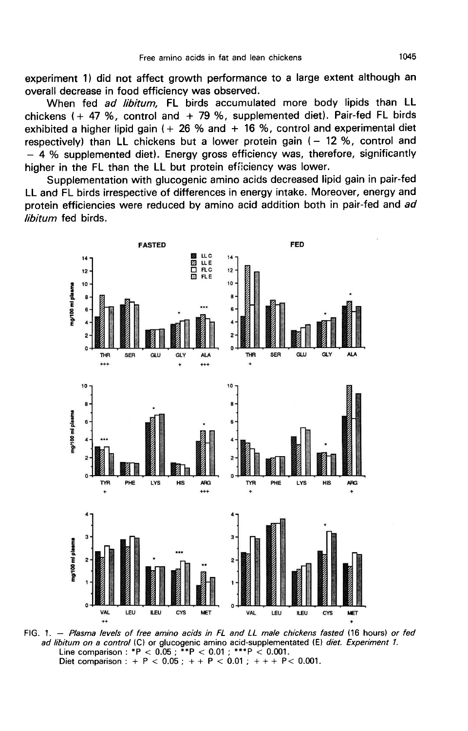experiment 1) did not affect growth performance to a large extent although an overall decrease in food efficiency was observed.

When fed ad libitum, FL birds accumulated more body lipids than LL chickens ( $+$  47 %, control and  $+$  79 %, supplemented diet). Pair-fed FL birds exhibited a higher lipid gain ( $+26%$  and  $+16%$ , control and experimental diet respectively) than LL chickens but a lower protein gain  $(-12, \%)$ , control and - 4 % supplemented diet). Energy gross efficiency was, therefore, significantly higher in the FL than the LL but protein efiiciency was lower.

Supplementation with glucogenic amino acids decreased lipid gain in pair-fed LL and FL birds irrespective of differences in energy intake. Moreover, energy and protein efficiencies were reduced by amino acid addition both in pair-fed and ad libitum fed birds.



FIG. 1. - Plasma levels of free amino acids in FL and LL male chickens fasted (16 hours) or fed ad libitum on a control (C) or glucogenic amino acid-supplementated (E) diet. Experiment 1. Line comparison : \*P < 0.05 ; \*\*P < 0.01 ; \*\*\*P < 0.001.<br>Diet comparison : + P < 0.05 ; + + P < 0.01 ; + + + P < 0.001.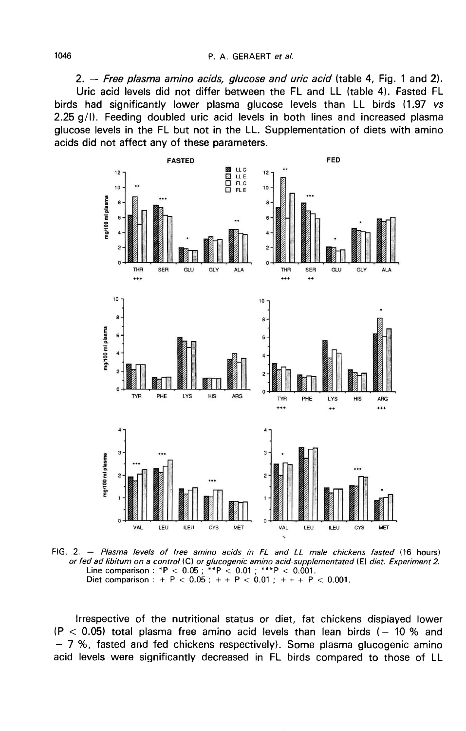2.  $-$  Free plasma amino acids, glucose and uric acid (table 4, Fig. 1 and 2). Uric acid levels did not differ between the FL and LL (table 4). Fasted FL birds had significantly lower plasma glucose levels than LL birds (1.97 vs 2.25 g/1). Feeding doubled uric acid levels in both lines and increased plasma glucose levels in the FL but not in the LL. Supplementation of diets with amino acids did not affect any of these parameters.



FIG. 2. - Plasma levels of free amino acids in FL and LL male chickens fasted (16 hours) or fed ad libitum on a control (C) or glucogenic amino acid-supplementated (E) diet. Experiment 2. Line comparison : \*P < 0.05 ; \*\*P < 0.01 ; \*\*\*P < 0.001.<br>Diet comparison : \*P < 0.05 ; \*\*P < 0.01 ; \*\*\*P < 0.001.

Irrespective of the nutritional status or diet, fat chickens displayed lower (P  $<$  0.05) total plasma free amino acid levels than lean birds (- 10 % and - 7 %, fasted and fed chickens respectively). Some plasma glucogenic amino acid levels were significantly decreased in FL birds compared to those of LL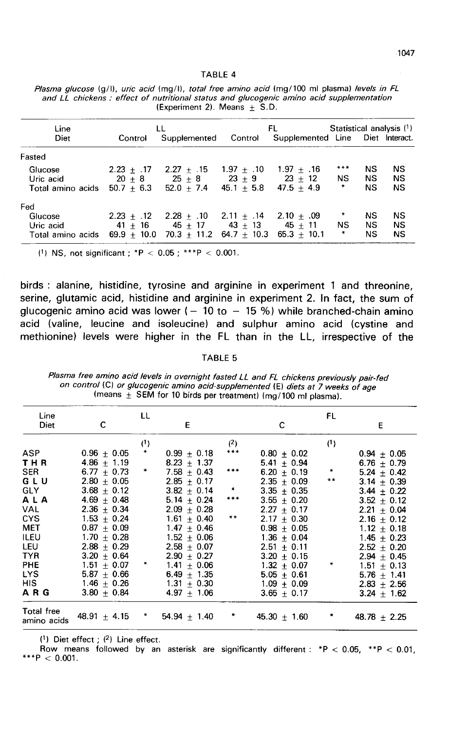TABLE 4

| Line              |              | LL                                                |              | FL                               | Statistical analysis (1) |           |           |
|-------------------|--------------|---------------------------------------------------|--------------|----------------------------------|--------------------------|-----------|-----------|
| Diet              | Control      | Supplemented Control                              |              | Supplemented Line Diet Interact. |                          |           |           |
| Fasted            |              |                                                   |              |                                  |                          |           |           |
| Glucose           | $2.23 + .17$ | $2.27 + 15$ 1.97 + .10                            |              | $1.97 + .16$                     | $***$                    | NS        | NS        |
| Uric acid         |              | $20 + 8$ $25 + 8$ $23 + 9$ $23 + 12$              |              |                                  | <b>NS</b>                | NS.       | NS        |
| Total amino acids |              | $50.7 + 6.3$ $52.0 + 7.4$                         | $45.1 + 5.8$ | $47.5 + 4.9$                     | *                        | NS        | <b>NS</b> |
| Fed               |              |                                                   |              |                                  |                          |           |           |
| Glucose           |              | $2.23 + 12$ $2.28 + 10$ $2.11 + 14$ $2.10 + 0.09$ |              |                                  |                          | <b>NS</b> | NS        |
| Uric acid         |              | $41 + 16$ $45 + 17$ $43 + 13$ $45 + 11$           |              |                                  | NS.                      | NS.       | <b>NS</b> |
| Total amino acids |              | $69.9 + 10.0$ $70.3 + 11.2$ $64.7 + 10.3$         |              | $65.3 + 10.1$                    | ₩                        | <b>NS</b> | <b>NS</b> |

| Plasma glucose (g/l), uric acid (mg/l), total free amino acid (mg/100 ml plasma) levels in FL |  |                                 |  |  |  |  |
|-----------------------------------------------------------------------------------------------|--|---------------------------------|--|--|--|--|
| and LL chickens: effect of nutritional status and glucogenic amino acid supplementation       |  |                                 |  |  |  |  |
|                                                                                               |  | $(Experiment 2)$ . Means + S.D. |  |  |  |  |

(1) NS, not significant; \*P < 0.05; \*\*\*P < 0.001.

birds : alanine, histidine, tyrosine and arginine in experiment 1 and threonine, serine, glutamic acid, histidine and arginine in experiment 2. In fact, the sum of glucogenic amino acid was lower  $(-10 \text{ to } -15 \%)$  while branched-chain amino acid (valine, leucine and isoleucine) and sulphur amino acid (cystine and methionine) levels were higher in the FL than in the LL, irrespective of the

#### TABLE 5

Plasma free amino acid levels in overnight fasted LL and FL chickens previously pair-fed on control (C) or glucogenic amino acid-supplemented (E) diets at 7 weeks of age (means  $\pm$  SEM for 10 birds per treatment) (mg/100 ml plasma).

| Line                      |                  | LL            |                 |                      |                 | FL      |                  |
|---------------------------|------------------|---------------|-----------------|----------------------|-----------------|---------|------------------|
| Diet                      | c                |               | E               |                      | C               |         | Ε                |
|                           |                  | (1)           |                 | (2)                  |                 | (1)     |                  |
| <b>ASP</b>                | $0.96 \pm 0.05$  | $\ast$        | $0.99 \pm 0.18$ | ***                  | $0.80 + 0.02$   |         | $0.94 + 0.05$    |
| THR                       | $4.86 \pm 1.19$  |               | $8.23 + 1.37$   |                      | 5.41 $\pm$ 0.94 |         | $6.76 + 0.79$    |
| <b>SER</b>                | $6.77 + 0.73$    | $\ast$        | $7.58 + 0.43$   | $***$                | $6.20 + 0.19$   | $\star$ | $5.24 + 0.42$    |
| GLU                       | $2.80 \pm 0.05$  |               | $2.85 + 0.17$   |                      | $2.35 + 0.09$   | **      | $3.14 + 0.39$    |
| <b>GLY</b>                | $3.68 + 0.12$    |               | $3.82 \pm 0.14$ | $*$                  | $3.35 + 0.35$   |         | $3.44 + 0.22$    |
| ALA                       | 4.69 $\pm$ 0.48  |               | $5.14 + 0.24$   | ***                  | $3.55 + 0.20$   |         | $3.52 + 0.12$    |
| <b>VAL</b>                | $2.36 \pm 0.34$  |               | $2.09 \pm 0.28$ |                      | $2.27 + 0.17$   |         | $2.21 + 0.04$    |
| <b>CYS</b>                | $1.53 + 0.24$    |               | $1.61 \pm 0.40$ | $***$                | $2.17 + 0.30$   |         | $2.16 + 0.12$    |
| <b>MET</b>                | $0.87 + 0.09$    |               | $1.47 + 0.46$   |                      | $0.98 + 0.05$   |         | $1.12 \pm 0.18$  |
| <b>ILEU</b>               | $1.70 + 0.28$    |               | $1.52 + 0.06$   |                      | $1.36 + 0.04$   |         | $1.45 + 0.23$    |
| LEU                       | $2.88 + 0.29$    |               | $2.58 + 0.07$   |                      | $2.51 + 0.11$   |         | $2.52 \pm 0.20$  |
| <b>TYR</b>                | $3.20 + 0.64$    |               | $2.90 + 0.27$   |                      | $3.20 + 0.15$   |         | $2.94 + 0.45$    |
| <b>PHE</b>                | $1.51 \pm 0.07$  | $\ast$        | $1.41 + 0.06$   |                      | $1.32 + 0.07$   | *       | $1.51 + 0.13$    |
| <b>LYS</b>                | $5.87 + 0.66$    |               | $6.49 + 1.35$   |                      | $5.05 + 0.61$   |         | $5.76 + 1.41$    |
| <b>HIS</b>                | $1.46 \pm 0.26$  |               | $1.31 \pm 0.30$ |                      | $1.09 \pm 0.09$ |         | $2.83 + 2.56$    |
| A R G                     | $3.80 + 0.84$    |               | $4.97 \pm 1.06$ |                      | $3.65 + 0.17$   |         | $3.24 \pm 1.62$  |
| Total free<br>amino acids | 48.91 $\pm$ 4.15 | $\rightarrow$ | $54.94 + 1.40$  | $\ddot{\phantom{1}}$ | $45.30 + 1.60$  | $\ast$  | $48.78 \pm 2.25$ |

(1) Diet effect ; (2) Line effect.<br>Row means followed by an asterisk are significantly different : \*P < 0.05, \*\*P < 0.01, \*\*\*P < 0.001.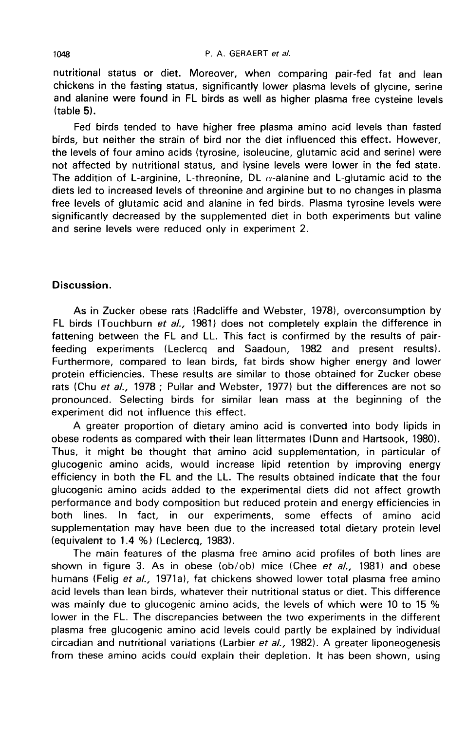nutritional status or diet. Moreover, when comparing pair-fed fat and lean chickens in the fasting status, significantly lower plasma levels of glycine, serine and alanine were found in FL birds as well as higher plasma free cysteine levels (table 5).

Fed birds tended to have higher free plasma amino acid levels than fasted birds, but neither the strain of bird nor the diet influenced this effect. However, the levels of four amino acids (tyrosine, isoleucine, glutamic acid and serine) were not affected by nutritional status, and lysine levels were lower in the fed state. The addition of L-arginine, L-threonine, DL  $\alpha$ -alanine and L-glutamic acid to the diets led to increased levels of threonine and arginine but to no changes in plasma free levels of glutamic acid and alanine in fed birds. Plasma tyrosine levels were significantly decreased by the supplemented diet in both experiments but valine and serine levels were reduced only in experiment 2.

# Discussion.

As in Zucker obese rats (Radcliffe and Webster, 1978), overconsumption by FL birds (Touchburn et al., 1981) does not completely explain the difference in fattening between the FL and LL. This fact is confirmed by the results of pairfeeding experiments (Leclercq and Saadoun, 1982 and present results). Furthermore, compared to lean birds, fat birds show higher energy and lower protein efficiencies. These results are similar to those obtained for Zucker obese rats (Chu et al., 1978 ; Pullar and Webster, 1977) but the differences are not so pronounced. Selecting birds for similar lean mass at the beginning of the experiment did not influence this effect.

A greater proportion of dietary amino acid is converted into body lipids in obese rodents as compared with their lean littermates (Dunn and Hartsook, 1980). Thus, it might be thought that amino acid supplementation, in particular of glucogenic amino acids, would increase lipid retention by improving energy efficiency in both the FL and the LL. The results obtained indicate that the four glucogenic amino acids added to the experimental diets did not affect growth performance and body composition but reduced protein and energy efficiencies in<br>both lines. In fact, in our experiments, some effects of amino acid In fact, in our experiments, some effects of amino acid supplementation may have been due to the increased total dietary protein level (equivalent to 1.4 %) (Leclercq, 1983).

The main features of the plasma free amino acid profiles of both lines are shown in figure 3. As in obese (ob/ob) mice (Chee et al., 1981) and obese humans (Felig et al., 1971a), fat chickens showed lower total plasma free amino acid levels than lean birds, whatever their nutritional status or diet. This difference was mainly due to glucogenic amino acids, the levels of which were 10 to 15 % lower in the FL. The discrepancies between the two experiments in the different plasma free glucogenic amino acid levels could partly be explained by individual circadian and nutritional variations (Larbier er al., 1982). A greater liponeogenesis from these amino acids could explain their depletion. It has been shown, using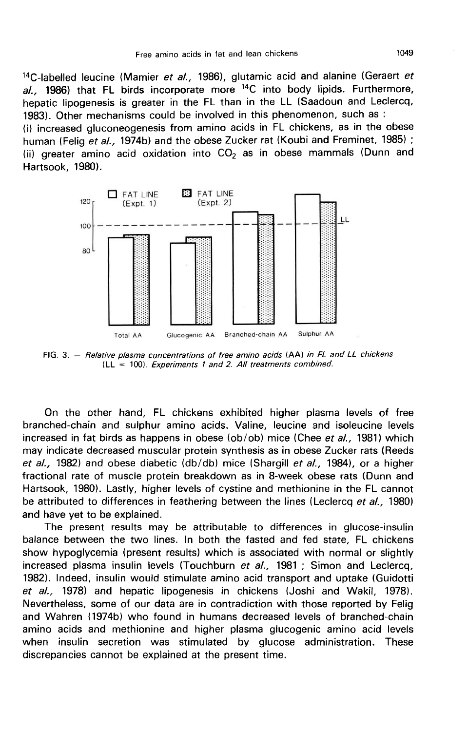1049<br><sup>14</sup>C-labelled leucine (Mamier *et al.,* 1986), glutamic acid and alanine (Geraert *et*  $al.$ , 1986) that FL birds incorporate more  $14C$  into body lipids. Furthermore, hepatic lipogenesis is greater in the FL than in the LL (Saadoun and Leclercq, 1983). Other mechanisms could be involved in this phenomenon, such as :

(i) increased gluconeogenesis from amino acids in FL chickens, as in the obese human (Felig et al., 1974b) and the obese Zucker rat (Koubi and Freminet, 1985); (ii) greater amino acid oxidation into  $CO<sub>2</sub>$  as in obese mammals (Dunn and Hartsook, 1980).



FIG. 3. - Relative plasma concentrations of free amino acids (AA) in FL and LL chickens  $|LL|$  = 100). Experiments 1 and 2. All treatments combined.

On the other hand, FL chickens exhibited higher plasma levels of free branched-chain and sulphur amino acids. Valine, leucine and isoleucine levels increased in fat birds as happens in obese (ob/ob) mice (Chee et al., 1981) which may indicate decreased muscular protein synthesis as in obese Zucker rats (Reeds et al., 1982) and obese diabetic (db/db) mice (Shargill et al., 1984), or a higher fractional rate of muscle protein breakdown as in 8-week obese rats (Dunn and Hartsook, 1980). Lastly, higher levels of cystine and methionine in the FL cannot be attributed to differences in feathering between the lines (Leclercq et al., 1980) and have yet to be explained.

The present results may be attributable to differences in glucose-insulin balance between the two lines. In both the fasted and fed state, FL chickens show hypoglycemia (present results) which is associated with normal or slightly increased plasma insulin levels (Touchburn et al., 1981; Simon and Leclercq, 1982). Indeed, insulin would stimulate amino acid transport and uptake (Guidotti et al., 1978) and hepatic lipogenesis in chickens (Joshi and Wakil, 1978). Nevertheless, some of our data are in contradiction with those reported by Felig and Wahren (1974b) who found in humans decreased levels of branched-chain amino acids and methionine and higher plasma glucogenic amino acid levels when insulin secretion was stimulated by glucose administration. These discrepancies cannot be explained at the present time.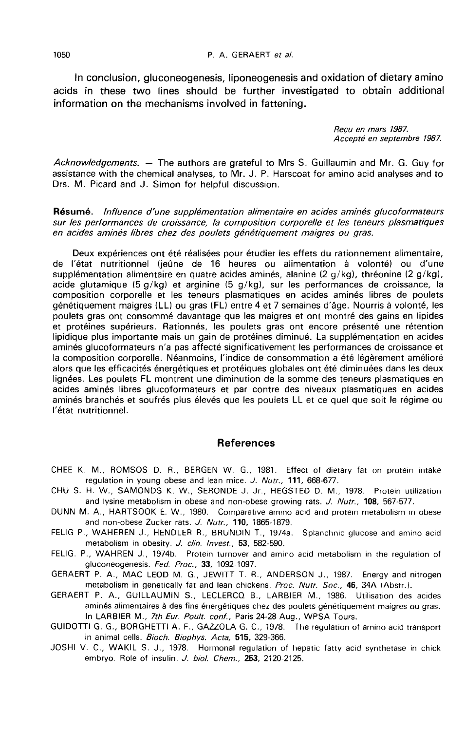In conclusion, gluconeogenesis, liponeogenesis and oxidation of dietary amino acids in these two lines should be further investigated to obtain additional information on the mechanisms involved in fattening.

> Recu en mars 1987. Accepté en septembre 1987.

Acknowledgements.  $-$  The authors are grateful to Mrs S. Guillaumin and Mr. G. Guy for assistance with the chemical analyses, to Mr. J. P. Harscoat for amino acid analyses and to Drs. M. Picard and J. Simon for helpful discussion.

Résumé. Influence d'une supplémentation alimentaire en acides aminés glucoformateurs sur les performances de croissance, la composition corporelle et les teneurs plasmatiques en acides aminés libres chez des poulets génétiquement maigres ou gras.

Deux expériences ont été réalisées pour étudier les effets du rationnement alimentaire, de l'état nutritionnel (jeûne de 16 heures ou alimentation à volonté) ou d'une supplémentation alimentaire en quatre acides aminés, alanine (2 g/kg), thréonine (2 g/kg), acide glutamique (5 g/kg) et arginine (5 g/kg), sur les performances de croissance, la composition corporelle et les teneurs plasmatiques en acides aminés libres de poulets génétiquement maigres (LL) ou gras (FL) entre 4 et 7 semaines d'âge. Nourris à volonté, les poulets gras ont consommé davantage que les maigres et ont montré des gains en lipides et protéines supérieurs. Rationnés, les poulets gras ont encore présenté une rétention lipidique plus importante mais un gain de protéines diminué. La supplémentation en acides aminés glucoformateurs n'a pas affecté significativement les performances de croissance et la composition corporelle. Néanmoins, l'indice de consommation a été légèrement amélioré alors que les efficacités énergétiques et protéiques globales ont été diminuées dans les deux lignées. Les poulets FL montrent une diminution de la somme des teneurs plasmatiques en acides aminés libres glucoformateurs et par contre des niveaux plasmatiques en acides aminés branchés et soufrés plus élevés que les poulets LL et ce quel que soit le régime ou l'état nutritionnel.

#### References

- CHEE K. M., ROMSOS D. R., BERGEN W. G., 1981. Effect of dietary fat on protein intake regulation in young obese and lean mice. J. Nutr., 111, 668-677.
- CHU S. H. W., SAMONDS K. W., SERONDE J. Jr., HEGSTED D. M., 1978. Protein utilization and lysine metabolism in obese and non-obese growing rats. J. Nutr., 108, 567-577.
- DUNN M. A., HARTSOOK E. W., 1980. Comparative amino acid and protein metabolism in obese and non-obese Zucker rats. J. Nutr., 110, 1865-1879.
- FELIG P., WAHEREN J., HENDLER R., BRUNDIN T., 1974a. Splanchnic glucose and amino acid metabolism in obesity. J. clin. Invest., 53, 582-590.
- FELIG. P., WAHREN J., 1974b. Protein turnover and amino acid metabolism in the regulation of gluconeogenesis. Fed. Proc., 33, 1092-1097.
- GERAERT P. A., MAC LEOD M. G., JEWITT T. R., ANDERSON J., 1987. Energy and nitrogen metabolism in genetically fat and lean chickens. Proc. Nutr. Soc., 46, 34A (Abstr.).
- GERAERT P. A., GUILLAUMIN S., LECLERCQ B., LARBIER M., 1986. Utilisation des acides aminés alimentaires à des fins énergétiques chez des poulets génétiquement maigres ou gras. In LARBIER M., 7th Eur. Poult. conf., Paris 24-28 Aug., WPSA Tours.
- GUIDOTTI G. G., BORGHETTI A. F., GAZZOLA G. C., 1978. The regulation of amino acid transport in animal cells. Bioch. Biophys. Acta, 515, 329-366.
- JOSHI V. C., WAKIL S. J., 1978. Hormonal regulation of hepatic fatty acid synthetase in chick embryo. Role of insulin. J. biol. Chem., 253, 2120-2125.